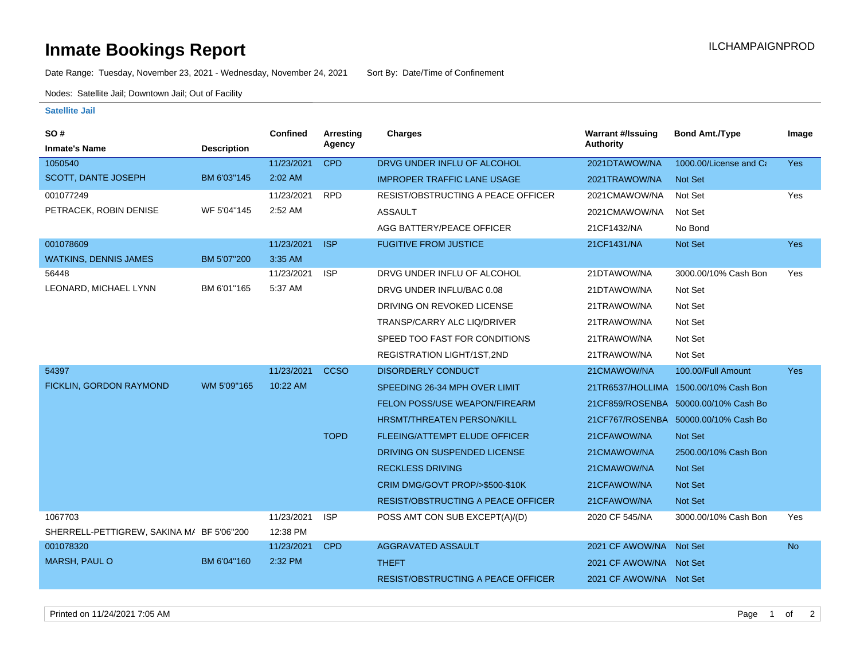## **Inmate Bookings Report Installation ILCHAMPAIGNPROD**

Date Range: Tuesday, November 23, 2021 - Wednesday, November 24, 2021 Sort By: Date/Time of Confinement

Nodes: Satellite Jail; Downtown Jail; Out of Facility

## **Satellite Jail**

| SO#                                       |                    | <b>Confined</b> | Arresting   | Charges                                   | <b>Warrant #/Issuing</b> | <b>Bond Amt./Type</b>                 | Image      |
|-------------------------------------------|--------------------|-----------------|-------------|-------------------------------------------|--------------------------|---------------------------------------|------------|
| <b>Inmate's Name</b>                      | <b>Description</b> |                 | Agency      |                                           | <b>Authority</b>         |                                       |            |
| 1050540                                   |                    | 11/23/2021      | <b>CPD</b>  | DRVG UNDER INFLU OF ALCOHOL               | 2021DTAWOW/NA            | 1000.00/License and Ca                | Yes        |
| <b>SCOTT, DANTE JOSEPH</b>                | BM 6'03"145        | 2:02 AM         |             | <b>IMPROPER TRAFFIC LANE USAGE</b>        | 2021TRAWOW/NA            | Not Set                               |            |
| 001077249                                 |                    | 11/23/2021      | <b>RPD</b>  | RESIST/OBSTRUCTING A PEACE OFFICER        | 2021CMAWOW/NA            | Not Set                               | Yes        |
| PETRACEK, ROBIN DENISE                    | WF 5'04"145        | 2:52 AM         |             | <b>ASSAULT</b>                            | 2021CMAWOW/NA            | Not Set                               |            |
|                                           |                    |                 |             | AGG BATTERY/PEACE OFFICER                 | 21CF1432/NA              | No Bond                               |            |
| 001078609                                 |                    | 11/23/2021      | <b>ISP</b>  | <b>FUGITIVE FROM JUSTICE</b>              | 21CF1431/NA              | Not Set                               | Yes        |
| <b>WATKINS, DENNIS JAMES</b>              | BM 5'07"200        | 3:35 AM         |             |                                           |                          |                                       |            |
| 56448                                     |                    | 11/23/2021      | <b>ISP</b>  | DRVG UNDER INFLU OF ALCOHOL               | 21DTAWOW/NA              | 3000.00/10% Cash Bon                  | Yes        |
| LEONARD, MICHAEL LYNN                     | BM 6'01"165        | 5:37 AM         |             | DRVG UNDER INFLU/BAC 0.08                 | 21DTAWOW/NA              | Not Set                               |            |
|                                           |                    |                 |             | DRIVING ON REVOKED LICENSE                | 21TRAWOW/NA              | Not Set                               |            |
|                                           |                    |                 |             | TRANSP/CARRY ALC LIQ/DRIVER               | 21TRAWOW/NA              | Not Set                               |            |
|                                           |                    |                 |             | SPEED TOO FAST FOR CONDITIONS             | 21TRAWOW/NA              | Not Set                               |            |
|                                           |                    |                 |             | REGISTRATION LIGHT/1ST,2ND                | 21TRAWOW/NA              | Not Set                               |            |
| 54397                                     |                    | 11/23/2021      | <b>CCSO</b> | <b>DISORDERLY CONDUCT</b>                 | 21CMAWOW/NA              | 100.00/Full Amount                    | <b>Yes</b> |
| FICKLIN, GORDON RAYMOND                   | WM 5'09"165        | 10:22 AM        |             | SPEEDING 26-34 MPH OVER LIMIT             |                          | 21TR6537/HOLLIMA 1500.00/10% Cash Bon |            |
|                                           |                    |                 |             | FELON POSS/USE WEAPON/FIREARM             |                          | 21CF859/ROSENBA 50000.00/10% Cash Bo  |            |
|                                           |                    |                 |             | <b>HRSMT/THREATEN PERSON/KILL</b>         |                          | 21CF767/ROSENBA 50000.00/10% Cash Bo  |            |
|                                           |                    |                 | <b>TOPD</b> | FLEEING/ATTEMPT ELUDE OFFICER             | 21CFAWOW/NA              | <b>Not Set</b>                        |            |
|                                           |                    |                 |             | DRIVING ON SUSPENDED LICENSE              | 21CMAWOW/NA              | 2500.00/10% Cash Bon                  |            |
|                                           |                    |                 |             | <b>RECKLESS DRIVING</b>                   | 21CMAWOW/NA              | <b>Not Set</b>                        |            |
|                                           |                    |                 |             | CRIM DMG/GOVT PROP/>\$500-\$10K           | 21CFAWOW/NA              | Not Set                               |            |
|                                           |                    |                 |             | <b>RESIST/OBSTRUCTING A PEACE OFFICER</b> | 21CFAWOW/NA              | Not Set                               |            |
| 1067703                                   |                    | 11/23/2021      | <b>ISP</b>  | POSS AMT CON SUB EXCEPT(A)/(D)            | 2020 CF 545/NA           | 3000.00/10% Cash Bon                  | Yes        |
| SHERRELL-PETTIGREW, SAKINA M/ BF 5'06"200 |                    | 12:38 PM        |             |                                           |                          |                                       |            |
| 001078320                                 |                    | 11/23/2021      | <b>CPD</b>  | <b>AGGRAVATED ASSAULT</b>                 | 2021 CF AWOW/NA Not Set  |                                       | <b>No</b>  |
| <b>MARSH, PAUL O</b>                      | BM 6'04"160        | 2:32 PM         |             | <b>THEFT</b>                              | 2021 CF AWOW/NA Not Set  |                                       |            |
|                                           |                    |                 |             | <b>RESIST/OBSTRUCTING A PEACE OFFICER</b> | 2021 CF AWOW/NA Not Set  |                                       |            |
|                                           |                    |                 |             |                                           |                          |                                       |            |